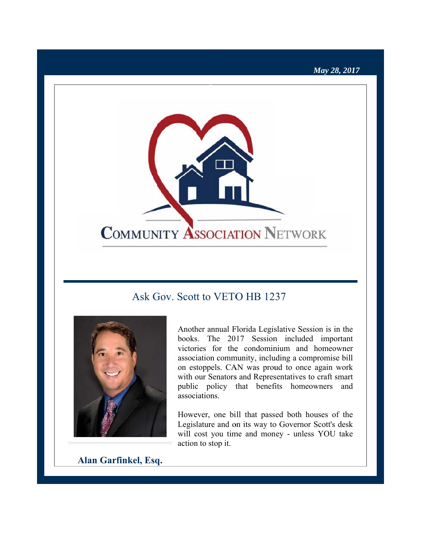### May 28, 2017



# Ask Gov. Scott to VETO HB 1237



Another annual Florida Legislative Session is in the books. The 2017 Session included important victories for the condominium and homeowner association community, including a compromise bill on estoppels. CAN was proud to once again work with our Senators and Representatives to craft smart public policy that benefits homeowners and associations.

However, one bill that passed both houses of the Legislature and on its way to Governor Scott's desk will cost you time and money - unless YOU take action to stop it.

Alan Garfinkel, Esq.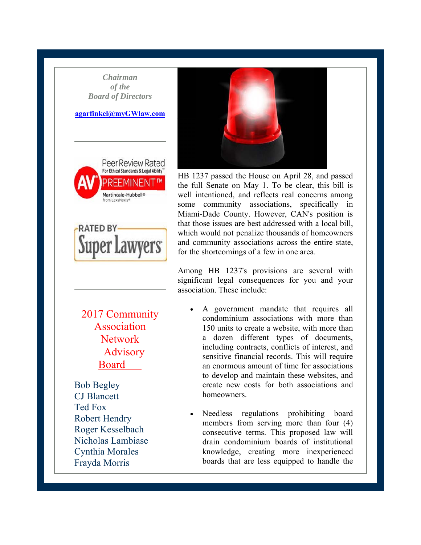**Chairman** of the **Board of Directors** 

#### agarfinkel@myGWlaw.com





2017 Community Association **Network** Advisory **Board** 

**Bob Begley CJ** Blancett **Ted Fox Robert Hendry** Roger Kesselbach Nicholas Lambiase **Cynthia Morales** Frayda Morris



HB 1237 passed the House on April 28, and passed the full Senate on May 1. To be clear, this bill is well intentioned, and reflects real concerns among some community associations, specifically in Miami-Dade County. However, CAN's position is that those issues are best addressed with a local bill, which would not penalize thousands of homeowners and community associations across the entire state, for the shortcomings of a few in one area.

Among HB 1237's provisions are several with significant legal consequences for you and your association. These include:

- A government mandate that requires all condominium associations with more than 150 units to create a website, with more than a dozen different types of documents, including contracts, conflicts of interest, and sensitive financial records. This will require an enormous amount of time for associations to develop and maintain these websites, and create new costs for both associations and homeowners.
- Needless regulations prohibiting board members from serving more than four (4) consecutive terms. This proposed law will drain condominium boards of institutional knowledge, creating more inexperienced boards that are less equipped to handle the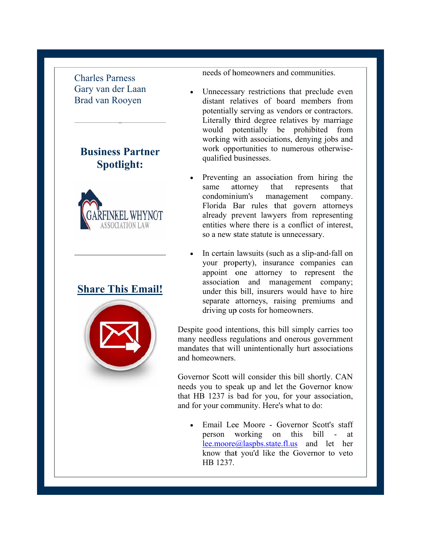Charles Parness Gary van der Laan B Brad van R Rooyen

## **Business Partner Spotlight:**



### **<u>Share This Email</u>**



needs of h homeowners and commu unities.

- $\bullet$ Unnecessary restrictions that preclude even distant relatives of board members from potentially serving as vendors or contractors. Literally third degree relatives by marriage would p potentially be prohib bited from working with associations, denying jobs and work opportunities to numerous otherwisequalified b businesses.
- $\bullet$ Preventing an association from hiring the same condomini ium's ma Florida Bar rules that govern attorneys already prevent lawyers from representing entities wh here there i s a conflict of interest, so a new state statute is unnecessary. attorney that hat represents that anagement company.
- $\bullet$ In certain lawsuits (such as a slip-and-fall on your prop perty), insu urance comp panies can appoint one attorney to represent the association and management company; under this bill, insurers would have to hire separate attorneys, raising premiums and driving up costs for homeowners.

Despite good intentions, this bill simply carries too many needless regulations and onerous government mandates that will unintentionally hurt associations and homeowners.

Governor Scott will consider this bill shortly. CAN needs you to speak up and let the Governor know that HB 1237 is bad for you, for your association, and for your community. Here's what to do:

• Email Lee Moore - Governor Scott's staff person working on this b lee.moore@laspbs.state.fl.us and let her know that you'd like the Governor to veto HB 1237.  $-$  at